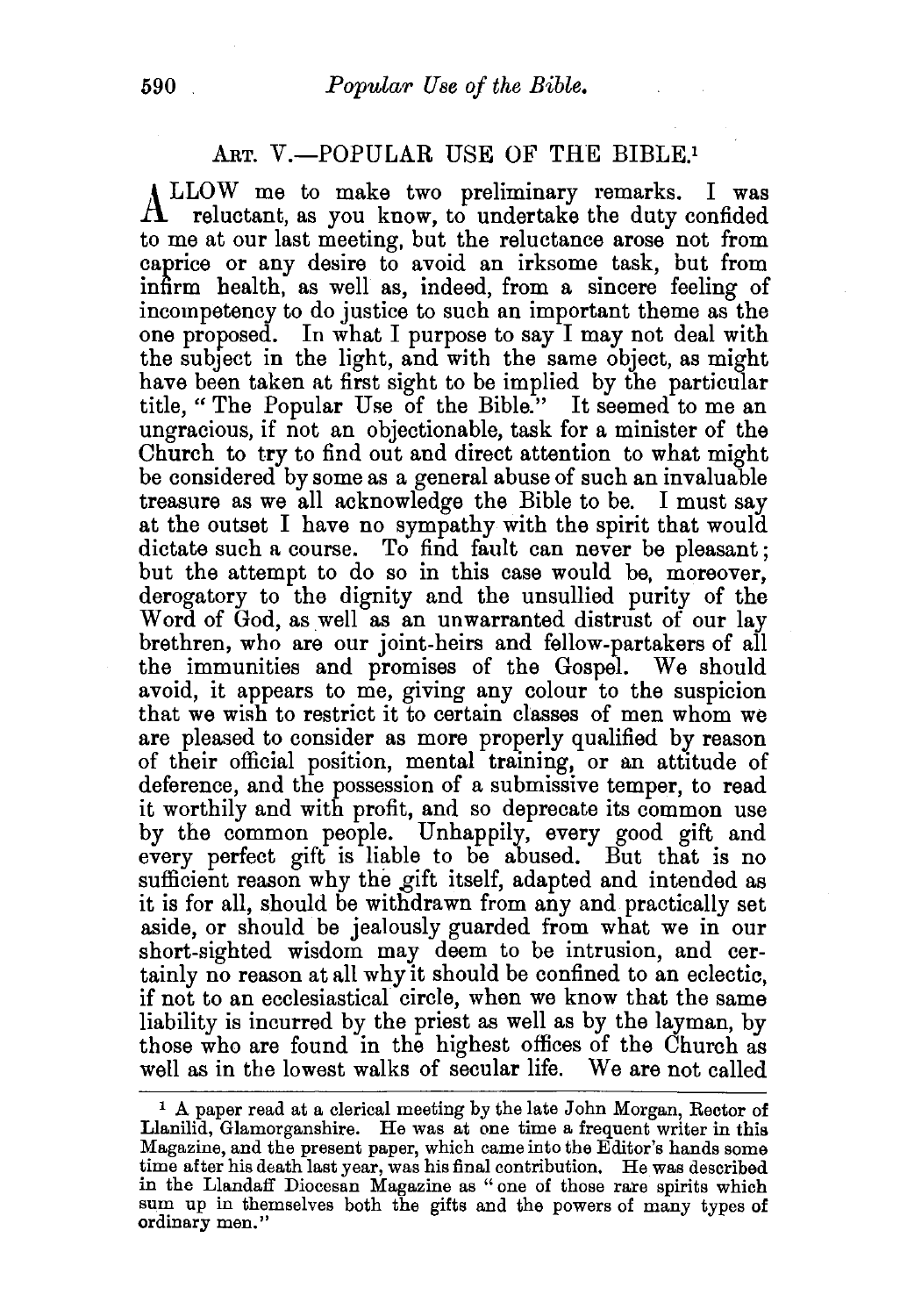## ART. V.-POPULAR USE OF THE BIBLE.<sup>1</sup>

ALLOW me to make two preliminary remarks. I was reluctant, as you know, to undertake the duty confided to me at our last meeting, but the reluctance arose not from caprice or any desire to avoid an irksome task, but from infirm health, as well as, indeed, from a sincere feeling of incompetency to do justice to such an important theme as the one proposed. In what I purpose to say I may not deal with the subject in the light, and with the same object, as might have been taken at first sight to be implied by the particular title, "The Popular Use of the Bible." It seemed to me an ungracious, if not an objectionable, task for a minister of the Church to try to find out and direct attention to what might be considered by some as a general abuse of such an invaluable treasure as we all acknowledge the Bible to be. I must say at the outset I have no sympathy with the spirit that would dictate such a course. To find fault can never be pleasant; but the attempt to do so in this case would be, moreover, derogatory to the dignity and the unsullied purity of the Word of God, as well as an unwarranted distrust of our lay brethren, who are our joint-heirs and fellow-partakers of all the immunities and promises of the Gospel. We should avoid, it appears to me, giving any colour to the suspicion that we wish to restrict it to certain classes of men whom we are pleased to consider as more properly qualified by reason of their official position, mental training, or an attitude of deference, and the possession of a submissive temper, to read it worthily and with profit, and so deprecate its common use by the common people. Unhappily, every good gift and every perfect gift is liable to be abused. But that is no sufficient reason why the gift itself, adapted and intended as it is for all, should be withdrawn from any and practically set aside, or should be jealously guarded from what we in our short-sighted wisdom may deem to be intrusion, and certainly no reason at all why it should be confined to an eclectic. if not to an ecclesiastical circle, when we know that the same liability is incurred by the priest as well as by the layman, by those who are found in the highest offices of the Church as well as in the lowest walks of secular life. We are not called

<sup>&</sup>lt;sup>1</sup> A paper read at a clerical meeting by the late John Morgan, Rector of Llanilid, Glamorganshire. He was at one time a frequent writer in this Magazine, and the present paper, which came into the Editor's hands some time after his death last year, was his final contribution. He was described in the Llandaff Diocesan Magazine as "one of those rare spirits which sum up in themselves both the gifts and the powers of many types of ordinary men."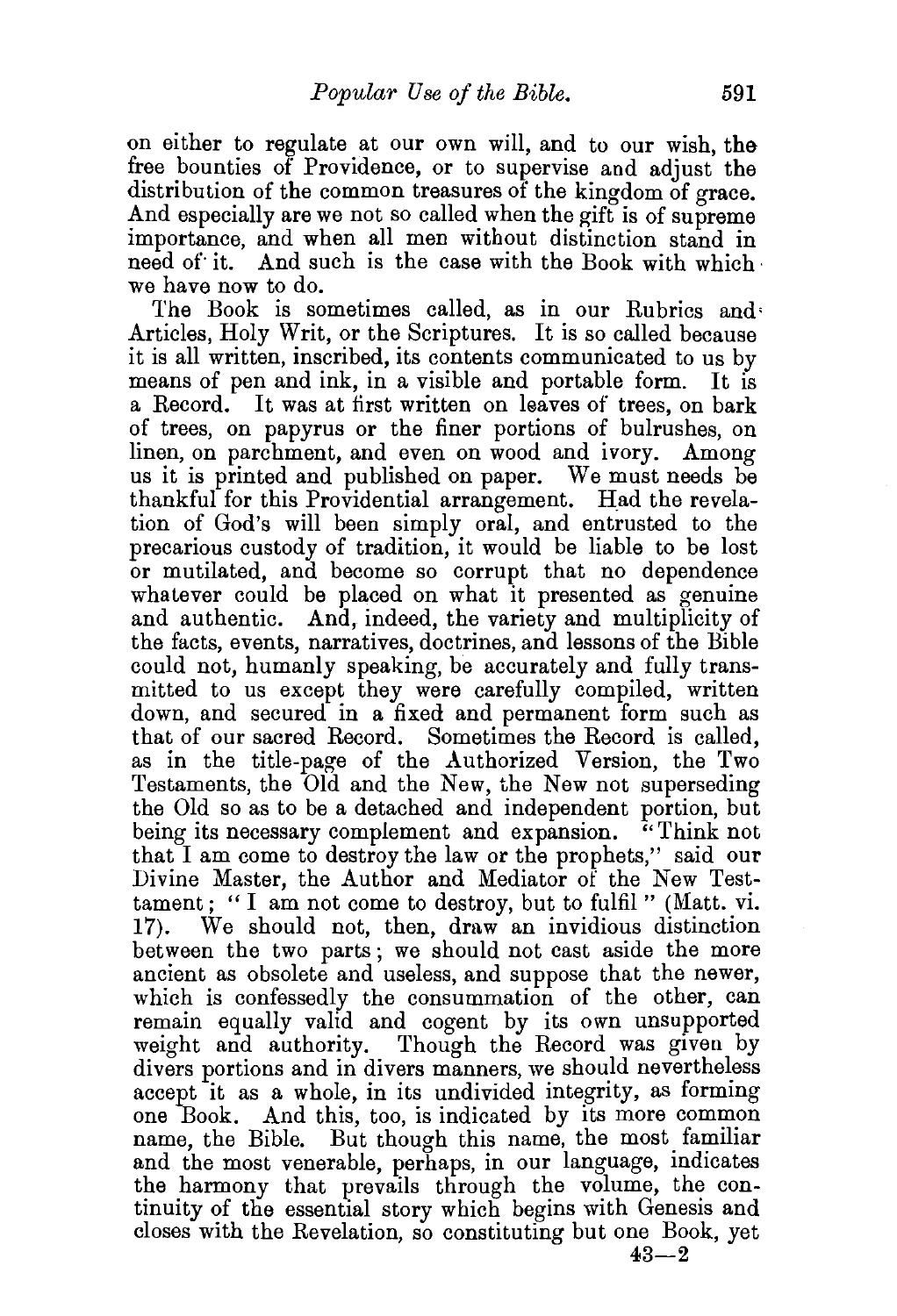on either to regulate at our own will, and to our wish, the free bounties of Providence, or to supervise and adjust the distribution of the common treasures of the kingdom of grace. And especially are we not so called when the gift is of supreme importance, and when all men without distinction stand in need of it. And such is the case with the Book with which. we have now to do.

The Book is sometimes called, as in our Rubrics and' Articles, Holy Writ, or the Scriptures. It is so called because it is all written, inscribed, its contents communicated to us by means of pen and ink, in a visible and portable form. It is a Record. It was at first written on leaves of trees, on bark of trees, on papyrus or the finer portions of bulrushes, on linen, on parchment, and even on wood and ivory. Among us it is printed and published on paper. We must needs be thankful for this Providential arrangement. Had the revelation of God's will been simply oral, and entrusted to the precarious custody of tradition, it would be liable to be lost or mutilated, and become so corrupt that no dependence whatever could be placed on what it presented as genuine and authentic. And, indeed, the variety and multiplicity of the facts, events, narratives, doctrines, and lessons of the Bible could not, humanly speaking, be accurately and fully transmitted to us except they were carefully compiled, written down, and secured in a fixed and permanent form such as that of our sacred Record. Sometimes the Record is called, as in the title-page of the Authorized Version, the Two Testaments, the Old and the New, the New not superseding the Old so as to be a detached and independent portion, but<br>being its necessary complement and expansion. "Think not being its necessary complement and expansion. that I am come to destroy the law or the prophets," said our Divine Master, the Author and Mediator of the New Testtament; " I am not come to destroy, but to fulfil " (Matt. vi. 17). We should not, then, draw an invidious distinction We should not, then, draw an invidious distinction between the two parts; we should not cast aside the more ancient as obsolete and useless, and suppose that the newer, which is confessedly the consummation of the other, can remain equally valid and cogent by its own unsupported weight and authority. Though the Record was given by divers portions and in divers manners, we should nevertheless accept it as a whole, in its undivided integrity, as forming one Book. And this, too, is indicated by its more common name, the Bible. But though this name, the most familiar and the most venerable, perhaps, in our language, indicates the harmony that prevails through the volume, the continuity of the essential story which begins with Genesis and closes with the Revelation, so constituting but one Book, yet

 $43 - 2$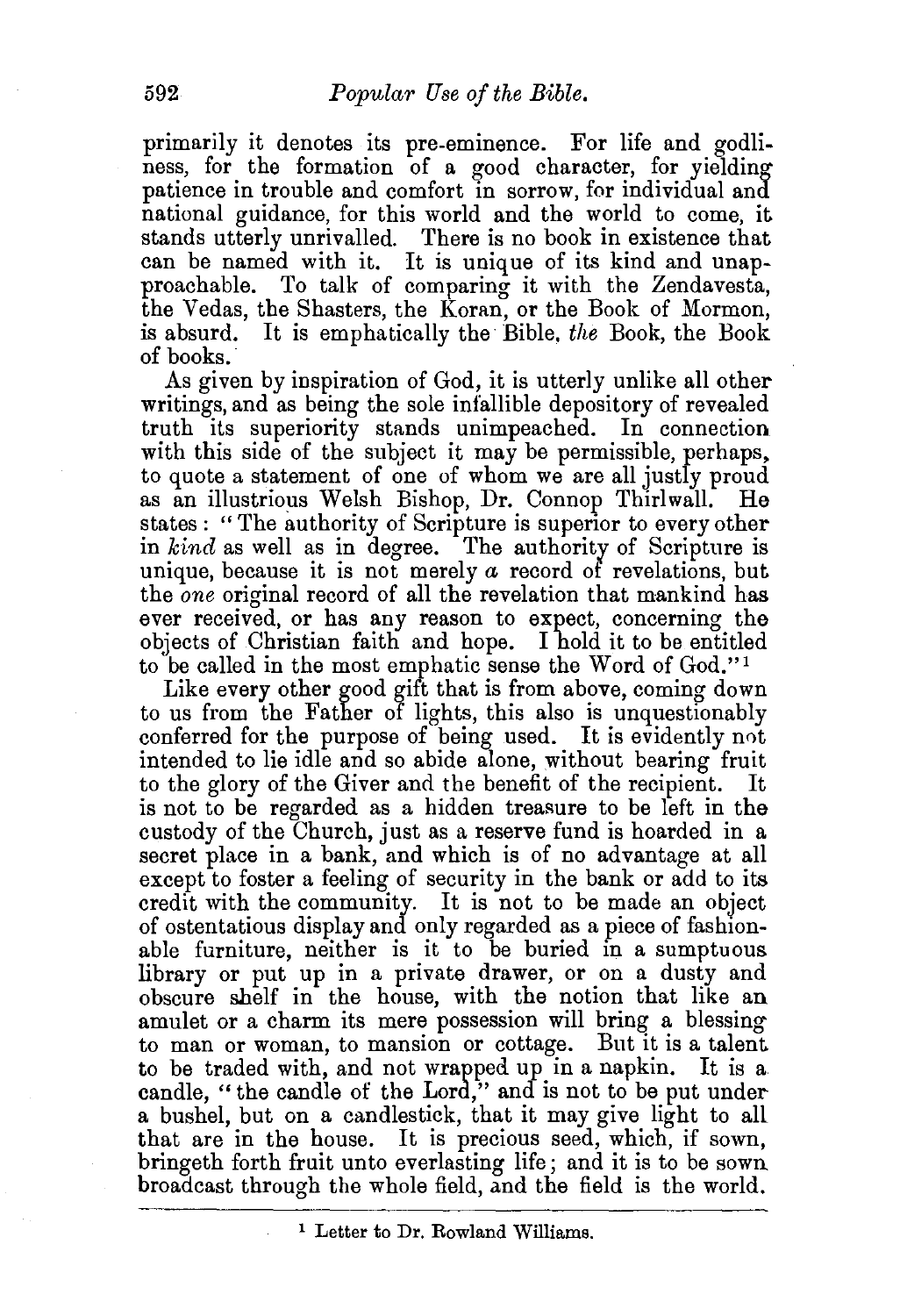primarily it denotes its pre-eminence. For life and godliness, for the formation of a good character, for yielding patience in trouble and comfort in sorrow, for individual and national guidance, for this world and the world to come, it stands utterly unrivalled. There is no book in existence that can be named with it. It is unique of its kind and unapproachable. To talk of comparing it with the Zendavesta, the Vedas, the Shasters, the Koran, or the Book of Mormon, is absurd. It is emphatically the Bible, *the* Book, the Book of books.

As given by inspiration of God, it is utterly unlike all other writings, and as being the sole infallible depository of revealed truth its superiority stands unimpeached. In connection with this side of the subject it may be permissible, perhaps, to quote a statement of one of whom we are all justly proud as an illustrious Welsh Bishop, Dr. Connop Thirlwall. He states : "The authority of Scripture is superior to every other in *kind* as well as in degree. The authority of Scripture is unique, because it is not merely *a* record of revelations, but the *one* original record of all the revelation that mankind has ever received, or has any reason to expect, concerning the objects of Christian faith and hope. I hold it to be entitled to 'be called in the most emphatic sense the Word of God." <sup>1</sup>

Like every other good gift that is from above, coming down to us from the Father of lights, this also is unquestionably conferred for the purpose of being used. It is evidently not intended to lie idle and so abide alone, without bearing fruit to the glory of the Giver and the benefit of the recipient. It is not to be regarded as a hidden treasure to be left in the custody of the Church, just as a reserve fund is hoarded in a secret place in a bank, and which is of no advantage at all except to foster a feeling of security in the bank or add to its credit with the community. It is not to be made an object of ostentatious display and only regarded as a piece of fashionable furniture, neither is it to be buried in a sumptuous library or put up in a private drawer, or on a dusty and obscure shelf in the house, with the notion that like an amulet or a charm its mere possession will bring a blessing to man or woman, to mansion or cottage. But it is a talent to be traded with, and not wrapped up in a napkin. It is a. candle, "the candle of the Lord," and is not to be put undera bushel, but on a candlestick, that it may give light to all that are in the house. It is precious seed, which, if sown, bringeth forth fruit unto everlasting life; and it is to be sown broadcast through the whole field, and the field is the world.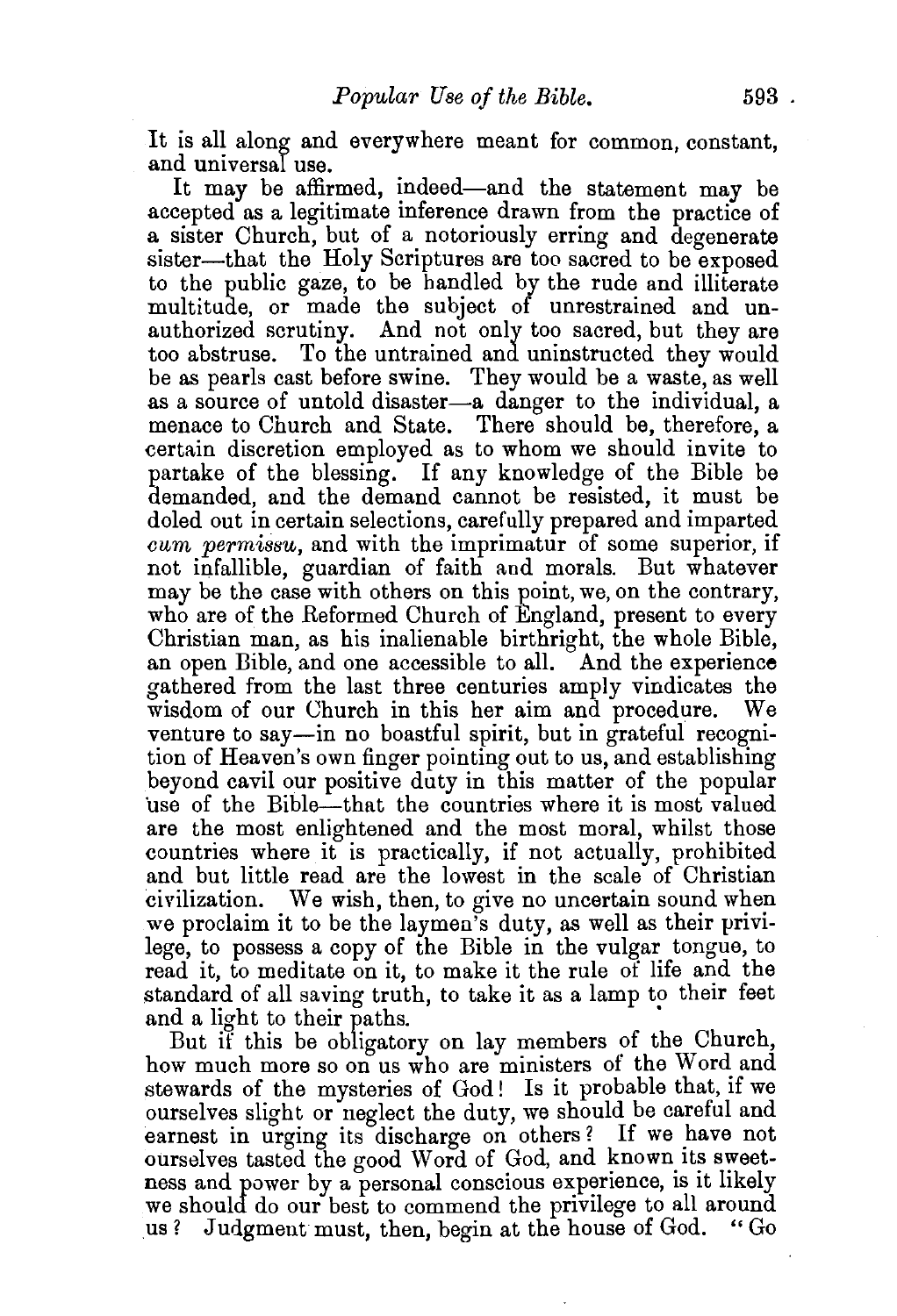It is all along and everywhere meant for common, constant, and universal use.

It may be affirmed, indeed-and the statement may be accepted as a legitimate inference drawn from the practice of a sister Church, but of a notoriously erring and degenerate sister—that the Holy Scriptures are too sacred to be exposed to the public gaze, to be handled by the rude and illiterate multitude, or made the subject of unrestrained and unauthorized scrutiny. And not only too sacred, but they are too abstruse. To the untrained and uninstructed they would be as pearls cast before swine. They would be a waste, as well as a source of untold disaster-a danger to the individual. a menace to Church and State. There should be, therefore, a certain discretion employed as to whom we should invite to partake of the blessing. If any knowledge of the Bible be demanded, and the demand cannot be resisted, it must be doled out in certain selections, carefully prepared and imparted *cum permissu*, and with the imprimatur of some superior, if not infallible, guardian of faith and morals. But whatever may be the case with others on this point, we, on the contrary, who are of the Reformed Church of England, present to every Christian man, as his inalienable birthright, the whole Bible, an open Bible, and one accessible to all. And the experience gathered from the last three centuries amply vindicates the wisdom of our Church in this her aim and procedure. We venture to say—in no boastful spirit, but in grateful recognition of Heaven's own finger pointing out to us, and establishing beyond cavil our positive duty in this matter of the popular 'use of the Bible-that the countries where it is most valued are the most enlightened and the most moral, whilst those countries where it is practically, if not actually, prohibited and but little read are the lowest in the scale of Christian civilization. We wish, then, to give no uncertain sound when we proclaim it to be the laymen's duty, as well as their privilege, to possess a copy of the Bible in the vulgar tongue, to read it, to meditate on it, to make it the rule of life and the standard of all saving truth, to take it as a lamp to their feet and a light to their paths.

But if this be obligatory on lay members of the Church, how much more so on us who are ministers of the Word and stewards of the mysteries of God! Is it probable that, if we ourselves slight or neglect the duty, we should be careful and earnest in urging its discharge on others? If we have not ourselves tasted the good Word of God, and known its sweetness and power by a personal conscious experience, is it likely we should do our best to commend the privilege to all around us ? Judgment must, then, begin at the house of God. " Go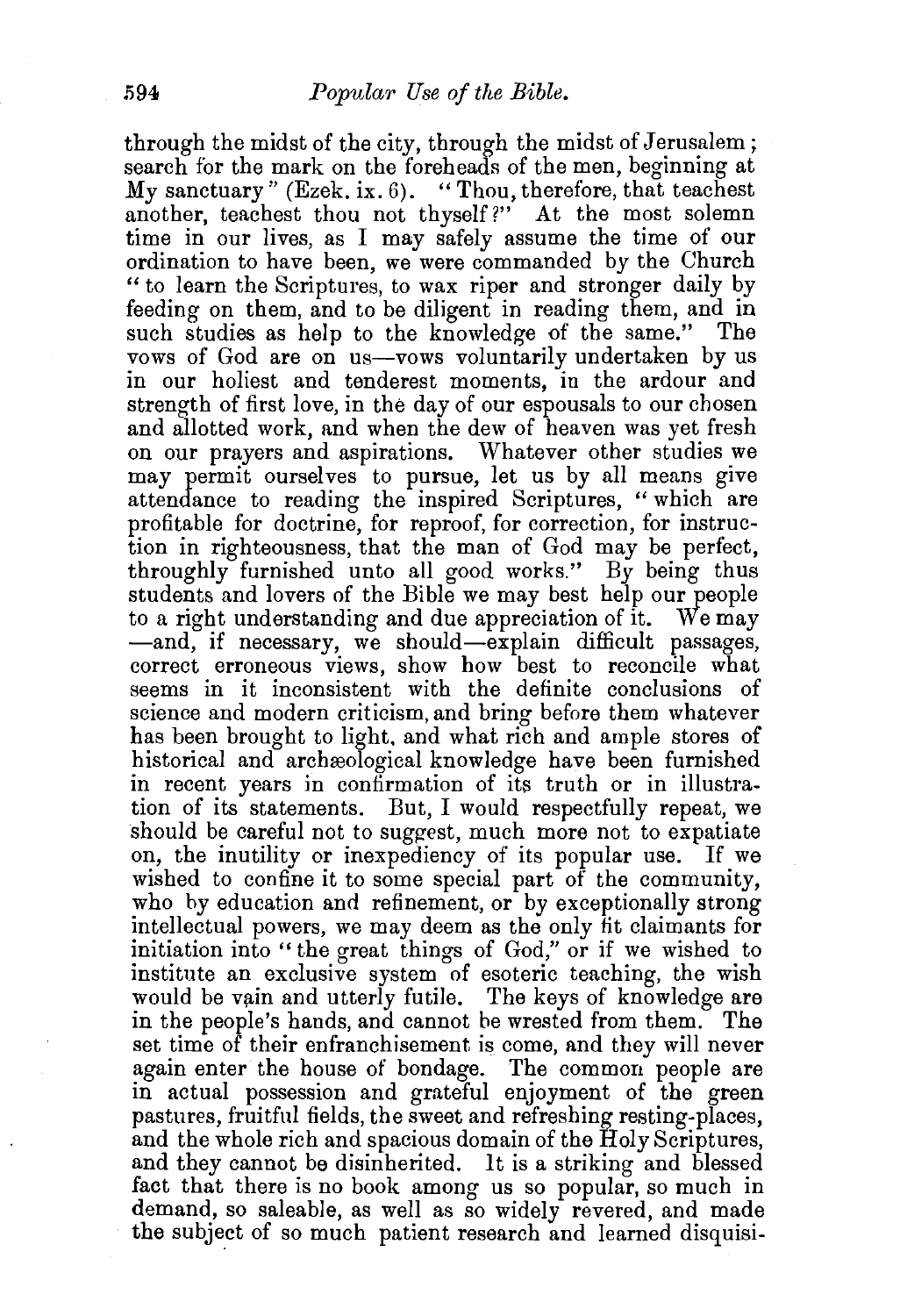through the midst of the city, through the midst of Jerusalem; search for the mark on the foreheads of the men, beginning at  $My$  sanctuary" (Ezek. ix. 6). "Thou, therefore, that teachest another, teachest thou not thyself?" At the most solemn time in our lives, as I may safely assume the time of our ordination to have been, we were commanded by the Church "to learn the Scriptures, to wax riper and stronger daily by feeding on them, and to be diligent in reading them, and in such studies as help to the knowledge of the same." vows of God are on us—vows voluntarily undertaken by us in our holiest and tenderest moments, in the ardour and strength of first love, in the day of our espousals to our chosen and allotted work, and when the dew of heaven was yet fresh on our prayers and aspirations. Whatever other studies we may permit ourselves to pursue, let us by all means give attendance to reading the inspired Scriptures, "which are profitable for doctrine, for reproof, for correction, for instruction in righteousness, that the man of God may be perfect, throughly furnished unto all good works." By being thus students and lovers of the Bible we may best help our people to a right understanding and due appreciation of it. We may -and, if necessary, we should-explain difficult passages, correct erroneous views, show how best to reconcile what seems in it inconsistent with the definite conclusions of science and modern criticism, and bring before them whatever has been brought to light, and what rich and ample stores of historical and archeological knowledge have been furnished in recent years in confirmation of its truth or in illustration of its statements. But, I would respectfully repeat, we should be careful not to suggest, much more not to expatiate on, the inutility or inexpediency of its popular use. If we wished to confine it to some special part of the community, who by education and refinement, or by exceptionally strong intellectual powers, we may deem as the only fit claimants for initiation into "the great things of God," or if we wished to institute an exclusive system of esoteric teaching, the wish would be vain and utterly futile. The keys of knowledge are in the people's hands, and cannot be wrested from them. The set time of their enfranchisement is come, and they will never again enter the house of bondage. The common people are in actual possession and grateful enjoyment of the green pastures, fruitful fields, the sweet and refreshing resting-places, and the whole rich and spacious domain of the Holy Scriptures, and they cannot be disinherited. It is a striking and blessed fact that there is no book among us so popular, so much in demand, so saleable, as well as so widely revered, and made the subject of so much patient research and learned disquisi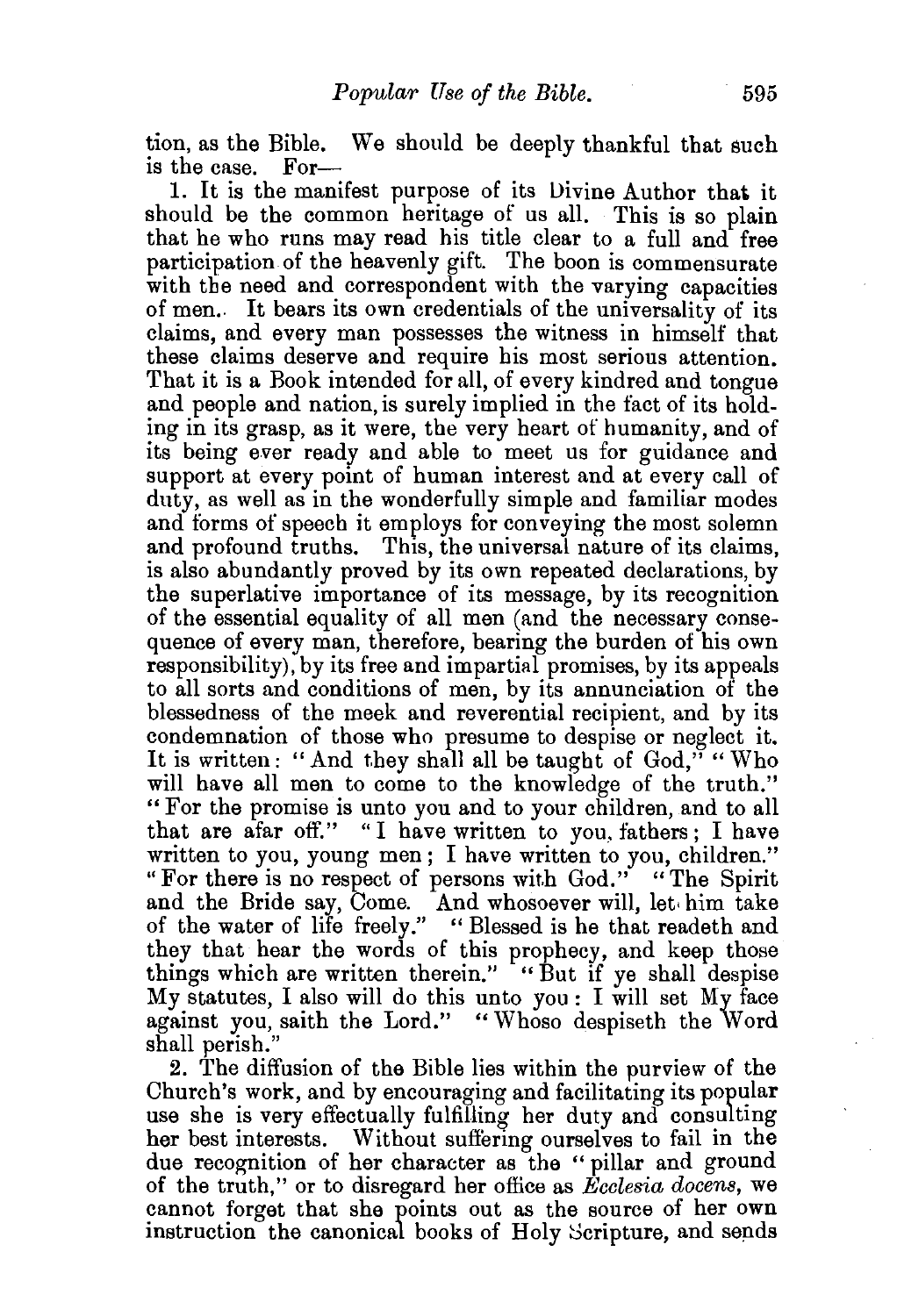tion, as the Bible. We should be deeply thankful that such is the case. For-

I. It is the manifest purpose of its Divine Author that it should be the common heritage of us all. This is so plain that he who runs may read his title clear to a full and free participation of the heavenly gift. The boon is commensurate with the need and correspondent with the varying capacities of men.. It bears its own credentials of the universality of its claims, and every man possesses the witness in himself that these claims deserve and require bis most serious attention. That it is a Book intended for all, of every kindred and tongue and people and nation, is surely implied in the fact of its holding in its grasp, as it were, the very heart of humanity, and of its being ever ready and able to meet us for guidance and support at every point of human interest and at every call of duty, as well as in the wonderfully simple and familiar modes and forms of speech it employs for conveying the most solemn and profound truths. This, the universal nature of its claims, is also abundantly proved by its own repeated declarations, by the superlative importance of its message, by its recognition of the essential equality of all men (and the necessary consequence of every man, therefore, bearing the burden of his own responsibility), by its free and impartial promises, by its appeals to all sorts and conditions of men, by its annunciation of the blessedness of the meek and reverential recipient, and by its condemnation of those who presume to despise or neglect it. It is written: "And they shall all be taught of  $God$ ," "Who will have all men to come to the knowledge of the truth." " For the promise is unto you and to your children, and to all that are afar off." "I have written to you, fathers; I have written to you, young men; I have written to you, children." "For there is no respect of persons with God." "The Spirit and the Bride say, Come. And whosoever will, let• him take of the water of life freely." "Blessed is he that readeth and they that hear the words of this prophecy, and keep those things which are written therein." "But if ye shall despise My statutes, I also will do this unto you : I will set My face against you, saith the Lord." "Whoso despiseth the Word shall perish."

2. The diffusion of the Bible lies within the purview of the Church's work, and by encouraging and facilitating its popular use she is very effectually fulfilling her duty and consulting her best interests. Without suffering ourselves to fail in the due recognition of her character as the " pillar and ground of the truth," or to disregard her office as *Ecclesia docens,* we cannot forget that she points out as the source of her own instruction the canonical books of Holy Scripture, and sends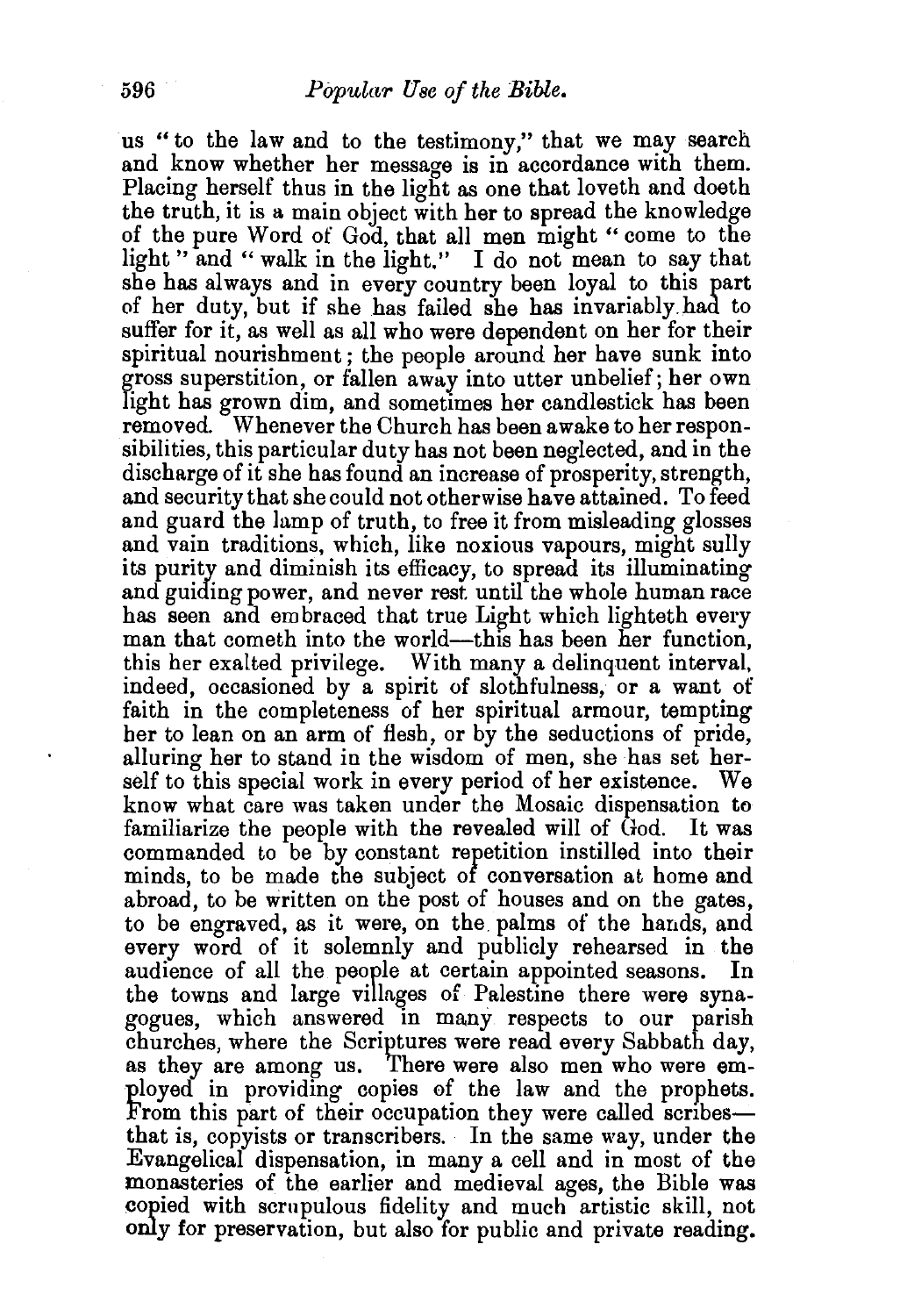us "to the law and to the testimony," that we may search and know whether her message is in accordance with them. Placing herself thus in the light as one that loveth and doeth the truth, it is a main object with her to spread the knowledge of the pure Word of God, that all men might " come to the light " and " walk in the light." I do not mean to say that she has always and in every country been loyal to this part of her duty, but if she has failed she has invariably.had to suffer for it, as well as all who were dependent on her for their spiritual nourishment; the people around her have sunk into gross superstition, or fallen away into utter unbelief; her own light has grown dim, and sometimes her candlestick has been removed. Whenever the Church has been awake to her responsibilities, this particular duty has not been neglected, and in the discharge of it she has found an increase of prosperity, strength, and security that she could not otherwise have attained. To feed and guard the lamp of truth, to free it from misleading glosses and vain traditions, which, like noxious vapours, might sully its purity and diminish its efficacy, to spread its illuminating and guiding power, and never rest until the whole human race has seen and em braced that true Light which lighteth every man that cometh into the world—this has been her function, this her exalted privilege. With many a delinquent interval, indeed, occasioned by a spirit of slothfulness, or a want of faith in the completeness of her spiritual armour, tempting her to lean on an arm of fiesh, or by the seductions of pride, alluring her to stand in the wisdom of men, she has set herself to this special work in every period of her existence. We know what care was taken under the Mosaic dispensation to familiarize the people with the revealed will of God. It was commanded to be by constant reretition instilled into their minds, to be made the subject of conversation at home and abroad, to be written on the post of houses and on the gates, to be engraved, as it were, on the palms of the hands, and every word of it solemnly and publicly rehearsed in the audience of all the people at certain appointed seasons. the towns and large villages of Palestine there were synagogues, which answered in many respects to our parish churches, where the Scriptures were read every Sabbath day, as they are among us. There were also men who were employed in providing copies of the law and the prophets. From this part of their occupation they were called scribesthat is, copyists or transcribers. In the same way, under the Evangelical dispensation, in many a cell and in most of the monasteries of the earlier and medieval ages, the Bible was copied with scrupulous fidelity and much artistic skill, not only for preservation, but also for public and private reading.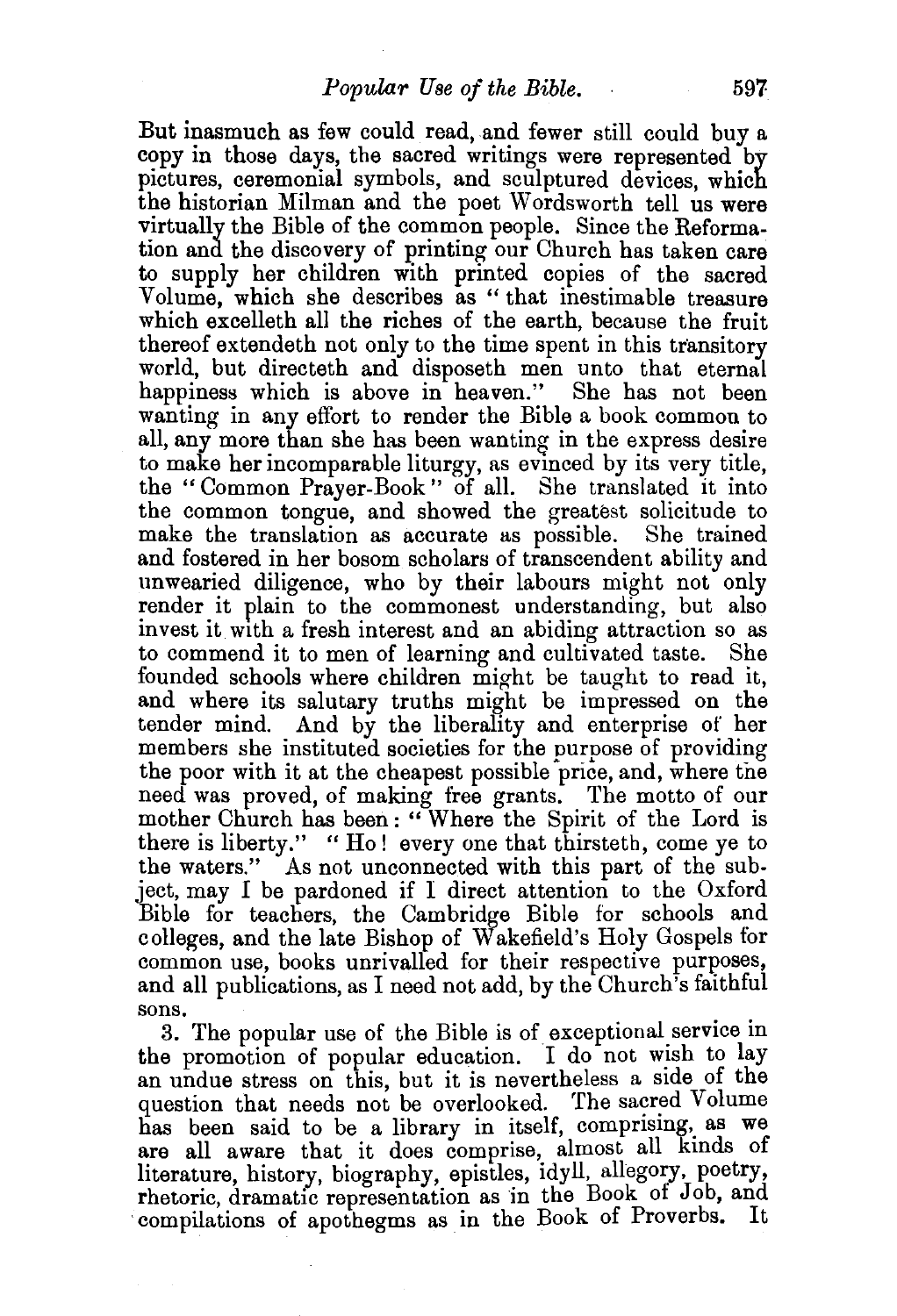But inasmuch as few could read, and fewer still could buy a copy in those days, the sacred writings were represented by pictures, ceremonial symbols, and sculptured devices, which the historian Milman and the poet Wordsworth tell us were virtually the Bible of the common people. Since the Reformation and the discovery of printing our Church has taken care to supply her children with printed copies of the sacred Volume, which she describes as " that inestimable treasure which excelleth all the riches of the earth, because the fruit thereof extendeth not only to the time spent in this transitory world, but directeth and disposeth men unto that eternal happiness which is above in heaven." She has not been wanting in any effort to render the Bible a book common to all, any more than she has been wanting in the express desire to make her incomparable liturgy, as evinced by its very title, the " Common Prayer-Book " of all. She translated it into the common tongue, and showed the greatest solicitude to make the translation as accurate as possible. She trained and fostered in her bosom scholars of transcendent ability and unwearied diligence, who by their labours might not only render it plain to the commonest understanding, but also invest it with a fresh interest and an abiding attraction so as to commend it to men of learning and cultivated taste. She to commend it to men of learning and cultivated taste. founded schools where children might be taught to read it, and where its salutary truths might be impressed on the tender mind. And by the liberality and enterprise of her members she instituted societies for the purpose of providing the poor with it at the cheapest possible price, and, where the need was proved, of making free grants. The motto of our mother Church has been: "Where the Spirit of the Lord is there is liberty." "Ho! every one that thirsteth, come ye to the waters." As not unconnected with this part of the subject, may I be pardoned if I direct attention to the Oxford Bible for teachers, the Cambridge Bible for schools and colleges, and the late Bishop of Wakefield's Holy Gospels for common use, books unrivalled for their respective purposes, and all publications, as I need not add, by the Church's faithful sons.

3. The popular use of the Bible is of exceptional service in the promotion of popular education. I do not wish to lay an undue stress on this, but it is nevertheless a stde of the question that needs not be overlooked. The sacred Volume has been said to be a library in itself, comprising, as we are all aware that it does comprise, almost all kinds of literature, history, biography, epistles, idyll, allegory, poetry, rhetoric, dramatic representation as in the Book of Job, and compilations of apothegms as in the Book of Proverbs.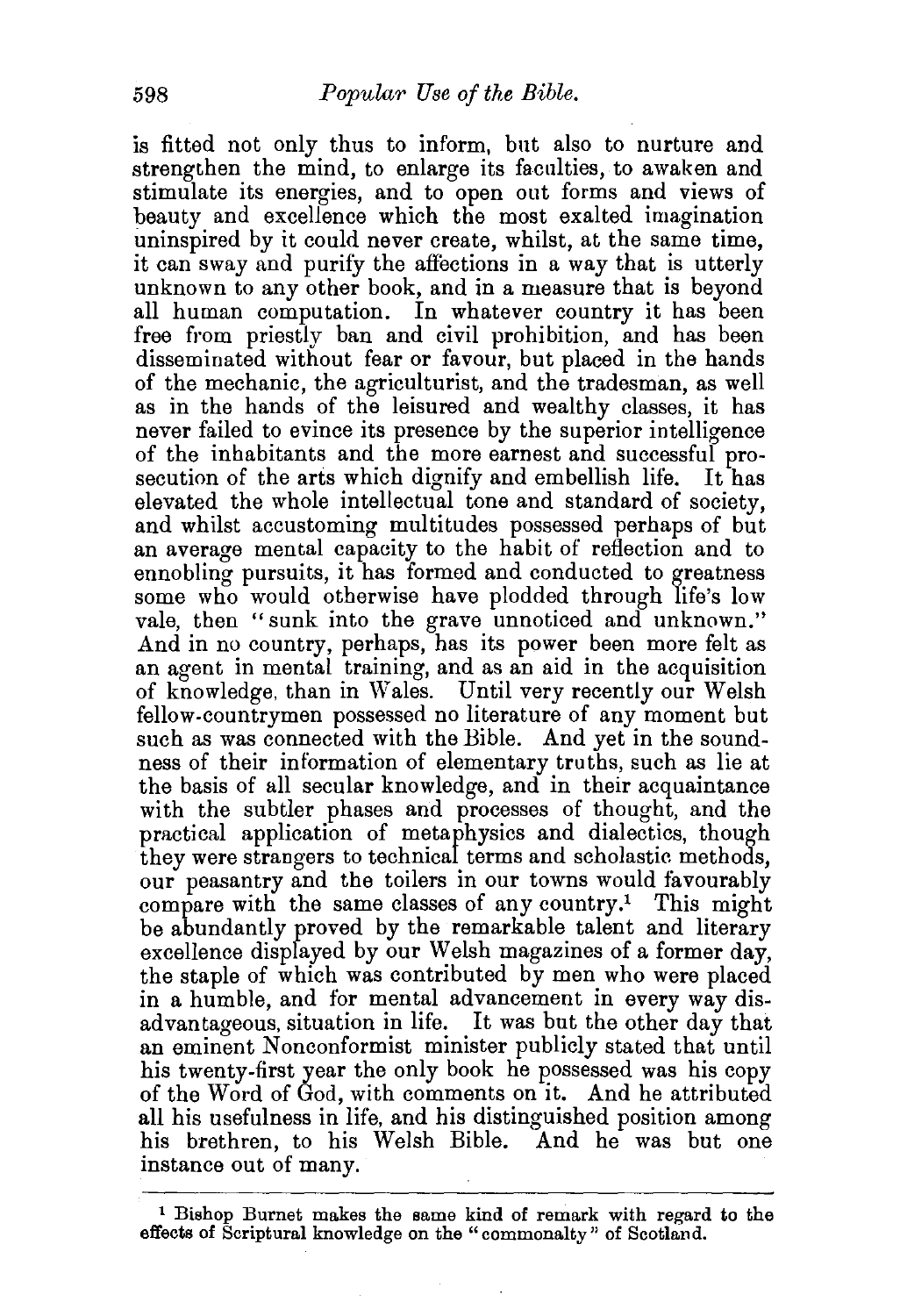is fitted not only thus to inform, but also to nurture and strengthen the mind, to enlarge its faculties, to awaken and stimulate its energies, and to open out forms and views of beauty and excellence which the most exalted imagination uninspired by *it* could never create, whilst, at the same time, it can sway and purify the affections in a way that is utterly unknown to any other book, and in a measure that is beyond all human computation. In whatever country it has been free from priestly ban and civil prohibition, and has been disseminated without fear or favour, but placed in the hands of the mechanic, the agriculturist, and the tradesman, as well as in the hands of the leisured and wealthy classes, it has never failed to evince its presence by the superior intelligence of the inhabitants and the more earnest and successful prosecution of the arts which dignify and embellish life. It has elevated the whole intellectual tone and standard of society, and whilst accustoming multitudes possessed perhaps of but an average mental capacity to the habit of reflection and to ennobling pursuits, it has formed and conducted to greatness some who would otherwise have plodded through life's low vale, then "sunk into the grave unnoticed and unknown." And in no country, perhaps, has its power been more felt as an agent in mental training, and as an aid in the acquisition of knowledge, than in Wales. Until very recently our Welsh fellow-countrymen possessed no literature of any moment but such as was connected with the Bible. And yet in the soundness of their information of elementary truths, such as lie at the basis of all secular knowledge, and in their acquaintance with the subtler phases and processes of thought, and the practical application of metaphysics and dialectics, though they were strangers to technical terms and scholastic methods, our peasantry and the toilers in our towns would favourably compare with the same classes of any country.<sup>1</sup> This might be abundantly proved by the remarkable talent and literary excellence displayed by our Welsh magazines of a former day, the staple of which was contributed by men who were placed in a humble, and for mental advancement in every way disadvantageous, situation in life. It was but the other day that an eminent Nonconformist minister publicly stated that until his twenty-first year the only book he possessed was his copy of the Word of God, with comments on it. And he attributed all his usefulness in life, and his distinguished position among his brethren, to his Welsh Bible. And he was but one instance out of many.

<sup>1</sup> Bishop Burnet makes the same kind of remark with regard to the effects of Scriptural knowledge on the "commonalty" of Scotian d.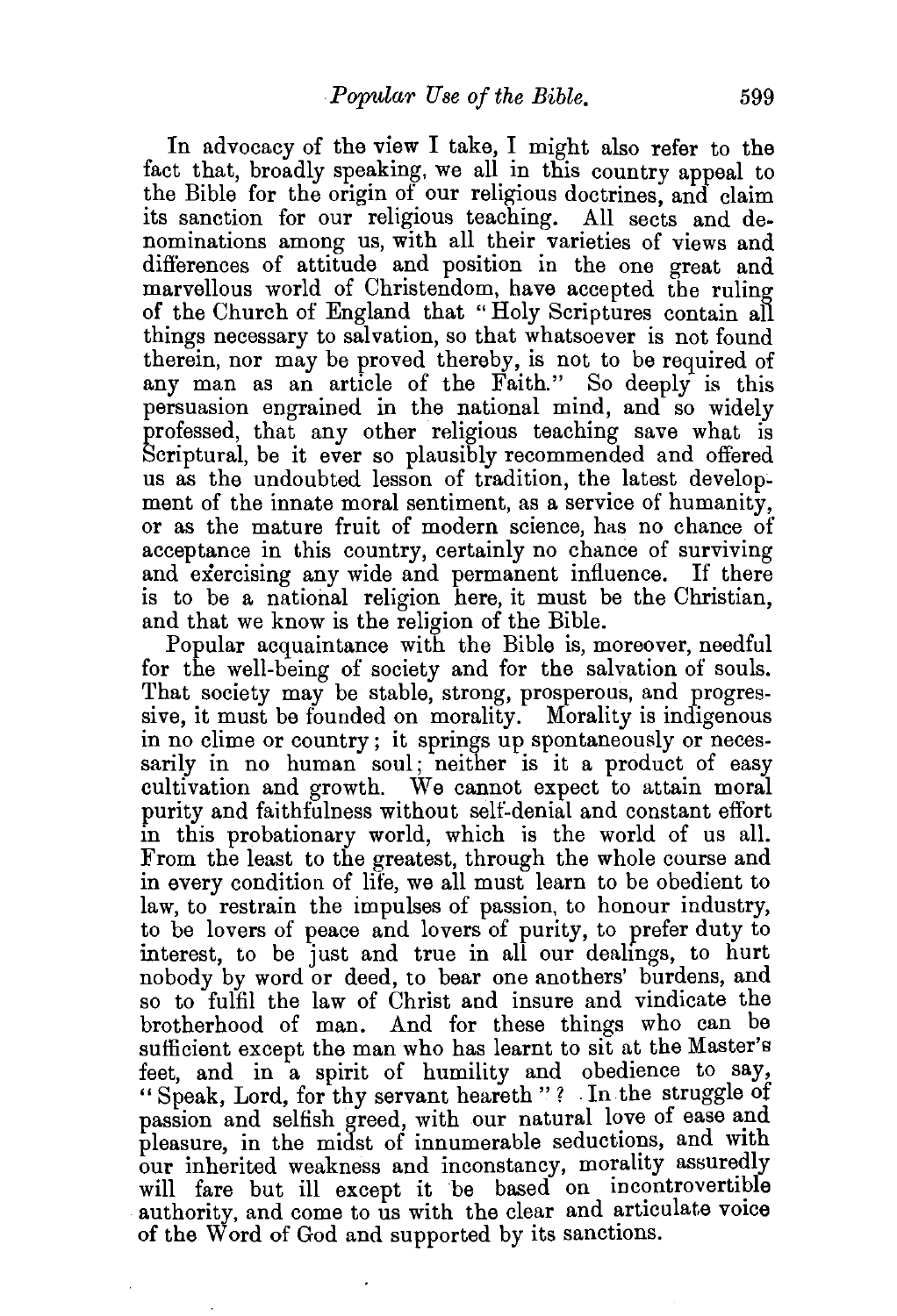In advocacy of the view I take, I might also refer to the fact that, broadly speaking, we all in this country appeal to the Bible for the origin of our religious doctrines, and claim its sanction for our religious teaching. All sects and denominations among us, with all their varieties of views and differences of attitude and position in the one great and marvellous world of Christendom, have accepted the ruling of the Church of England that "Holy Scriptures contain all things necessary to salvation, so that whatsoever is not found therein, nor may be proved thereby, is not to be required of any man as an article of the Faith." So deeply is this persuasion engrained in the national mind, and so widely professed, that any other religious teaching save what is Scriptural, be it ever so plausibly recommended and offered us as the undoubted lesson of tradition, the latest development of the innate moral sentiment, as a service of humanity, or as the mature fruit of modern science, has no chance of acceptance in this country, certainly no chance of surviving and exercising any wide and permanent influence. If there is to be a national religion here, it must be the Christian, and that we know is the religion of the Bible.

Popular acquaintance with the Bible is, moreover, needful for the well-being of society and for the salvation of souls. That society may be stable, strong, prosperous, and progressive, it must be founded on morality. Morality is indigenous in no clime or country; it springs up spontaneously or necessarily in no human soul; neither is it a product of easy cultivation and growth. We cannot expect to attain moral purity and faithfulness without self-denial and constant effort in this probationary world, which is the world of us all. From the least to the greatest, through the whole course and in every condition of life, we all must learn to be obedient to law, to restrain the impulses of passion, to honour industry, to be lovers of peace and lovers of purity, to prefer duty to interest, to be just and true in all our dealmgs, to hurt nobody by word or deed, to bear one anothers' burdens, and so to fulfil the law of Christ and insure and vindicate the brotherhood of man. And for these things who can be sufficient except the man who has learnt to sit at the Master's feet, and in a spirit of humility and obedience to say, " Speak, Lord, for thy servant heareth " ? . In the struggle of passion and selfish greed, with our natural love of ease and pleasure, in the midst of innumerable seductions, and with our inherited weakness and inconstancy, morality assuredly will fare but ill except it be based on incontrovertible authority, and come to us with the clear and articulate voice of the Word of God and supported by its sanctions.